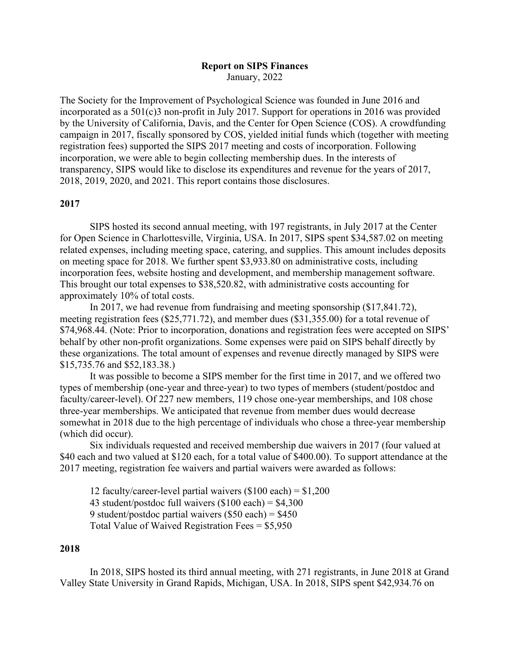# **Report on SIPS Finances** January, 2022

The Society for the Improvement of Psychological Science was founded in June 2016 and incorporated as a  $501(c)$ 3 non-profit in July 2017. Support for operations in 2016 was provided by the University of California, Davis, and the Center for Open Science (COS). A crowdfunding campaign in 2017, fiscally sponsored by COS, yielded initial funds which (together with meeting registration fees) supported the SIPS 2017 meeting and costs of incorporation. Following incorporation, we were able to begin collecting membership dues. In the interests of transparency, SIPS would like to disclose its expenditures and revenue for the years of 2017, 2018, 2019, 2020, and 2021. This report contains those disclosures.

# **2017**

SIPS hosted its second annual meeting, with 197 registrants, in July 2017 at the Center for Open Science in Charlottesville, Virginia, USA. In 2017, SIPS spent \$34,587.02 on meeting related expenses, including meeting space, catering, and supplies. This amount includes deposits on meeting space for 2018. We further spent \$3,933.80 on administrative costs, including incorporation fees, website hosting and development, and membership management software. This brought our total expenses to \$38,520.82, with administrative costs accounting for approximately 10% of total costs.

In 2017, we had revenue from fundraising and meeting sponsorship (\$17,841.72), meeting registration fees (\$25,771.72), and member dues (\$31,355.00) for a total revenue of \$74,968.44. (Note: Prior to incorporation, donations and registration fees were accepted on SIPS' behalf by other non-profit organizations. Some expenses were paid on SIPS behalf directly by these organizations. The total amount of expenses and revenue directly managed by SIPS were \$15,735.76 and \$52,183.38.)

It was possible to become a SIPS member for the first time in 2017, and we offered two types of membership (one-year and three-year) to two types of members (student/postdoc and faculty/career-level). Of 227 new members, 119 chose one-year memberships, and 108 chose three-year memberships. We anticipated that revenue from member dues would decrease somewhat in 2018 due to the high percentage of individuals who chose a three-year membership (which did occur).

Six individuals requested and received membership due waivers in 2017 (four valued at \$40 each and two valued at \$120 each, for a total value of \$400.00). To support attendance at the 2017 meeting, registration fee waivers and partial waivers were awarded as follows:

12 faculty/career-level partial waivers  $(\$100$  each) =  $\$1,200$ 43 student/postdoc full waivers  $(\$100$  each) =  $\$4,300$ 9 student/postdoc partial waivers  $(\$50$  each) =  $\$450$ Total Value of Waived Registration Fees  $=$  \$5,950

### **2018**

In 2018, SIPS hosted its third annual meeting, with 271 registrants, in June 2018 at Grand Valley State University in Grand Rapids, Michigan, USA. In 2018, SIPS spent \$42,934.76 on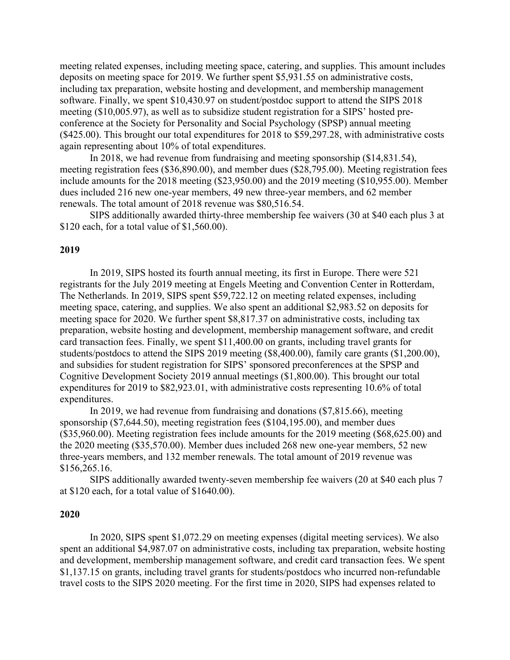meeting related expenses, including meeting space, catering, and supplies. This amount includes deposits on meeting space for 2019. We further spent \$5,931.55 on administrative costs, including tax preparation, website hosting and development, and membership management software. Finally, we spent \$10,430.97 on student/postdoc support to attend the SIPS 2018 meeting (\$10,005.97), as well as to subsidize student registration for a SIPS' hosted preconference at the Society for Personality and Social Psychology (SPSP) annual meeting (\$425.00). This brought our total expenditures for 2018 to \$59,297.28, with administrative costs again representing about 10% of total expenditures.

In 2018, we had revenue from fundraising and meeting sponsorship (\$14,831.54), meeting registration fees (\$36,890.00), and member dues (\$28,795.00). Meeting registration fees include amounts for the 2018 meeting (\$23,950.00) and the 2019 meeting (\$10,955.00). Member dues included 216 new one-year members, 49 new three-year members, and 62 member renewals. The total amount of 2018 revenue was \$80,516.54.

SIPS additionally awarded thirty-three membership fee waivers (30 at \$40 each plus 3 at \$120 each, for a total value of \$1,560.00).

### **2019**

In 2019, SIPS hosted its fourth annual meeting, its first in Europe. There were 521 registrants for the July 2019 meeting at Engels Meeting and Convention Center in Rotterdam, The Netherlands. In 2019, SIPS spent \$59,722.12 on meeting related expenses, including meeting space, catering, and supplies. We also spent an additional \$2,983.52 on deposits for meeting space for 2020. We further spent \$8,817.37 on administrative costs, including tax preparation, website hosting and development, membership management software, and credit card transaction fees. Finally, we spent \$11,400.00 on grants, including travel grants for students/postdocs to attend the SIPS 2019 meeting (\$8,400.00), family care grants (\$1,200.00), and subsidies for student registration for SIPS' sponsored preconferences at the SPSP and Cognitive Development Society 2019 annual meetings (\$1,800.00). This brought our total expenditures for 2019 to \$82,923.01, with administrative costs representing 10.6% of total expenditures.

In 2019, we had revenue from fundraising and donations (\$7,815.66), meeting sponsorship (\$7,644.50), meeting registration fees (\$104,195.00), and member dues (\$35,960.00). Meeting registration fees include amounts for the 2019 meeting (\$68,625.00) and the 2020 meeting (\$35,570.00). Member dues included 268 new one-year members, 52 new three-years members, and 132 member renewals. The total amount of 2019 revenue was \$156,265.16.

SIPS additionally awarded twenty-seven membership fee waivers (20 at \$40 each plus 7 at \$120 each, for a total value of \$1640.00).

## **2020**

In 2020, SIPS spent \$1,072.29 on meeting expenses (digital meeting services). We also spent an additional \$4,987.07 on administrative costs, including tax preparation, website hosting and development, membership management software, and credit card transaction fees. We spent \$1,137.15 on grants, including travel grants for students/postdocs who incurred non-refundable travel costs to the SIPS 2020 meeting. For the first time in 2020, SIPS had expenses related to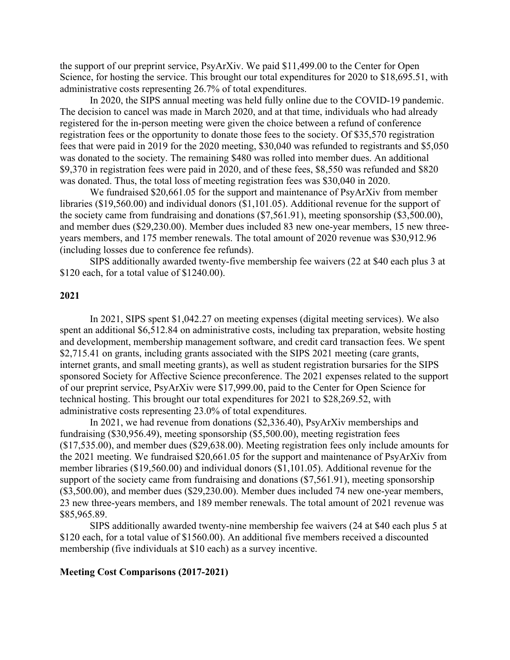the support of our preprint service, PsyArXiv. We paid \$11,499.00 to the Center for Open Science, for hosting the service. This brought our total expenditures for 2020 to \$18,695.51, with administrative costs representing 26.7% of total expenditures.

In 2020, the SIPS annual meeting was held fully online due to the COVID-19 pandemic. The decision to cancel was made in March 2020, and at that time, individuals who had already registered for the in-person meeting were given the choice between a refund of conference registration fees or the opportunity to donate those fees to the society. Of \$35,570 registration fees that were paid in 2019 for the 2020 meeting, \$30,040 was refunded to registrants and \$5,050 was donated to the society. The remaining \$480 was rolled into member dues. An additional \$9,370 in registration fees were paid in 2020, and of these fees, \$8,550 was refunded and \$820 was donated. Thus, the total loss of meeting registration fees was \$30,040 in 2020.

We fundraised \$20,661.05 for the support and maintenance of PsyArXiv from member libraries (\$19,560.00) and individual donors (\$1,101.05). Additional revenue for the support of the society came from fundraising and donations (\$7,561.91), meeting sponsorship (\$3,500.00), and member dues (\$29,230.00). Member dues included 83 new one-year members, 15 new threeyears members, and 175 member renewals. The total amount of 2020 revenue was \$30,912.96 (including losses due to conference fee refunds).

SIPS additionally awarded twenty-five membership fee waivers (22 at \$40 each plus 3 at \$120 each, for a total value of \$1240.00).

## **2021**

In 2021, SIPS spent \$1,042.27 on meeting expenses (digital meeting services). We also spent an additional \$6,512.84 on administrative costs, including tax preparation, website hosting and development, membership management software, and credit card transaction fees. We spent \$2,715.41 on grants, including grants associated with the SIPS 2021 meeting (care grants, internet grants, and small meeting grants), as well as student registration bursaries for the SIPS sponsored Society for Affective Science preconference. The 2021 expenses related to the support of our preprint service, PsyArXiv were \$17,999.00, paid to the Center for Open Science for technical hosting. This brought our total expenditures for 2021 to \$28,269.52, with administrative costs representing 23.0% of total expenditures.

In 2021, we had revenue from donations (\$2,336.40), PsyArXiv memberships and fundraising (\$30,956.49), meeting sponsorship (\$5,500.00), meeting registration fees (\$17,535.00), and member dues (\$29,638.00). Meeting registration fees only include amounts for the 2021 meeting. We fundraised \$20,661.05 for the support and maintenance of PsyArXiv from member libraries (\$19,560.00) and individual donors (\$1,101.05). Additional revenue for the support of the society came from fundraising and donations (\$7,561.91), meeting sponsorship (\$3,500.00), and member dues (\$29,230.00). Member dues included 74 new one-year members, 23 new three-years members, and 189 member renewals. The total amount of 2021 revenue was \$85,965.89.

SIPS additionally awarded twenty-nine membership fee waivers (24 at \$40 each plus 5 at \$120 each, for a total value of \$1560.00). An additional five members received a discounted membership (five individuals at \$10 each) as a survey incentive.

#### **Meeting Cost Comparisons (2017-2021)**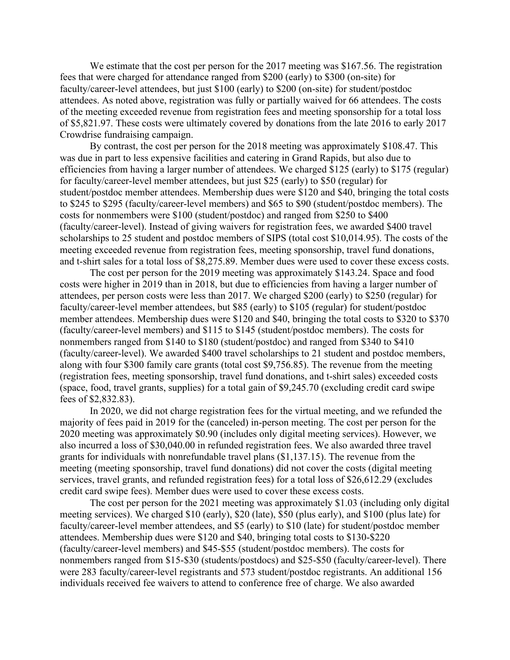We estimate that the cost per person for the 2017 meeting was \$167.56. The registration fees that were charged for attendance ranged from \$200 (early) to \$300 (on-site) for faculty/career-level attendees, but just \$100 (early) to \$200 (on-site) for student/postdoc attendees. As noted above, registration was fully or partially waived for 66 attendees. The costs of the meeting exceeded revenue from registration fees and meeting sponsorship for a total loss of \$5,821.97. These costs were ultimately covered by donations from the late 2016 to early 2017 Crowdrise fundraising campaign.

By contrast, the cost per person for the 2018 meeting was approximately \$108.47. This was due in part to less expensive facilities and catering in Grand Rapids, but also due to efficiencies from having a larger number of attendees. We charged \$125 (early) to \$175 (regular) for faculty/career-level member attendees, but just \$25 (early) to \$50 (regular) for student/postdoc member attendees. Membership dues were \$120 and \$40, bringing the total costs to \$245 to \$295 (faculty/career-level members) and \$65 to \$90 (student/postdoc members). The costs for nonmembers were \$100 (student/postdoc) and ranged from \$250 to \$400 (faculty/career-level). Instead of giving waivers for registration fees, we awarded \$400 travel scholarships to 25 student and postdoc members of SIPS (total cost \$10,014.95). The costs of the meeting exceeded revenue from registration fees, meeting sponsorship, travel fund donations, and t-shirt sales for a total loss of \$8,275.89. Member dues were used to cover these excess costs.

The cost per person for the 2019 meeting was approximately \$143.24. Space and food costs were higher in 2019 than in 2018, but due to efficiencies from having a larger number of attendees, per person costs were less than 2017. We charged \$200 (early) to \$250 (regular) for faculty/career-level member attendees, but \$85 (early) to \$105 (regular) for student/postdoc member attendees. Membership dues were \$120 and \$40, bringing the total costs to \$320 to \$370 (faculty/career-level members) and \$115 to \$145 (student/postdoc members). The costs for nonmembers ranged from \$140 to \$180 (student/postdoc) and ranged from \$340 to \$410 (faculty/career-level). We awarded \$400 travel scholarships to 21 student and postdoc members, along with four \$300 family care grants (total cost \$9,756.85). The revenue from the meeting (registration fees, meeting sponsorship, travel fund donations, and t-shirt sales) exceeded costs (space, food, travel grants, supplies) for a total gain of \$9,245.70 (excluding credit card swipe fees of \$2,832.83).

In 2020, we did not charge registration fees for the virtual meeting, and we refunded the majority of fees paid in 2019 for the (canceled) in-person meeting. The cost per person for the 2020 meeting was approximately \$0.90 (includes only digital meeting services). However, we also incurred a loss of \$30,040.00 in refunded registration fees. We also awarded three travel grants for individuals with nonrefundable travel plans (\$1,137.15). The revenue from the meeting (meeting sponsorship, travel fund donations) did not cover the costs (digital meeting services, travel grants, and refunded registration fees) for a total loss of \$26,612.29 (excludes credit card swipe fees). Member dues were used to cover these excess costs.

The cost per person for the 2021 meeting was approximately \$1.03 (including only digital meeting services). We charged \$10 (early), \$20 (late), \$50 (plus early), and \$100 (plus late) for faculty/career-level member attendees, and \$5 (early) to \$10 (late) for student/postdoc member attendees. Membership dues were \$120 and \$40, bringing total costs to \$130-\$220 (faculty/career-level members) and \$45-\$55 (student/postdoc members). The costs for nonmembers ranged from \$15-\$30 (students/postdocs) and \$25-\$50 (faculty/career-level). There were 283 faculty/career-level registrants and 573 student/postdoc registrants. An additional 156 individuals received fee waivers to attend to conference free of charge. We also awarded